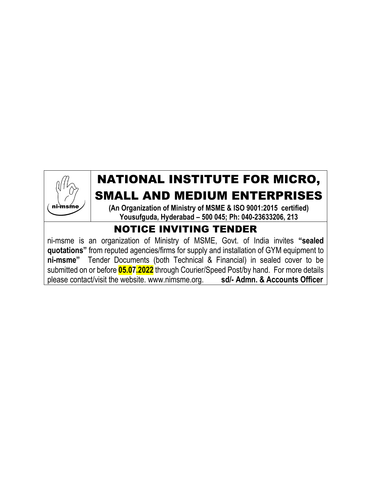# NATIONAL INSTITUTE FOR MICRO, SMALL AND MEDIUM ENTERPRISES

**(An Organization of Ministry of MSME & ISO 9001:2015 certified) Yousufguda, Hyderabad – 500 045; Ph: 040-23633206, 213**

# NOTICE INVITING TENDER

ni-msme

ni-msme is an organization of Ministry of MSME, Govt. of India invites **"sealed quotations"** from reputed agencies/firms for supply and installation of GYM equipment to **ni-msme"** Tender Documents (both Technical & Financial) in sealed cover to be submitted on or before **05.07.2022** through Courier/Speed Post/by hand. For more details please contact/visit the website. www.nimsme.org. **sd/- Admn. & Accounts Officer**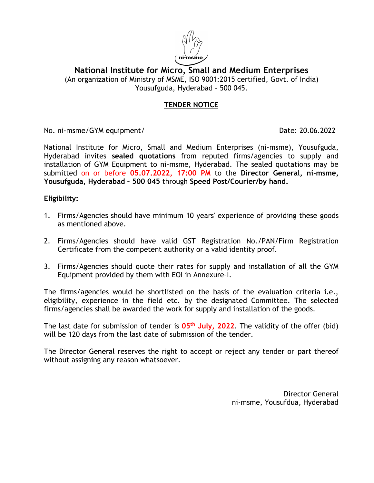

**National Institute for Micro, Small and Medium Enterprises** (An organization of Ministry of MSME, ISO 9001:2015 certified, Govt. of India) Yousufguda, Hyderabad – 500 045.

#### **TENDER NOTICE**

No. ni-msme/GYM equipment/ Date: 20.06.2022

National Institute for Micro, Small and Medium Enterprises (ni-msme), Yousufguda, Hyderabad invites **sealed quotations** from reputed firms/agencies to supply and installation of GYM Equipment to ni-msme, Hyderabad. The sealed quotations may be submitted on or before **05.07.2022, 17:00 PM** to the **Director General, ni-msme, Yousufguda, Hyderabad – 500 045** through **Speed Post/Courier/by hand.**

#### **Eligibility:**

- 1. Firms/Agencies should have minimum 10 years' experience of providing these goods as mentioned above.
- 2. Firms/Agencies should have valid GST Registration No./PAN/Firm Registration Certificate from the competent authority or a valid identity proof.
- 3. Firms/Agencies should quote their rates for supply and installation of all the GYM Equipment provided by them with EOI in Annexure–I.

The firms/agencies would be shortlisted on the basis of the evaluation criteria i.e., eligibility, experience in the field etc. by the designated Committee. The selected firms/agencies shall be awarded the work for supply and installation of the goods.

The last date for submission of tender is **05<sup>th</sup> July, 2022**. The validity of the offer (bid) will be 120 days from the last date of submission of the tender.

The Director General reserves the right to accept or reject any tender or part thereof without assigning any reason whatsoever.

> Director General ni-msme, Yousufdua, Hyderabad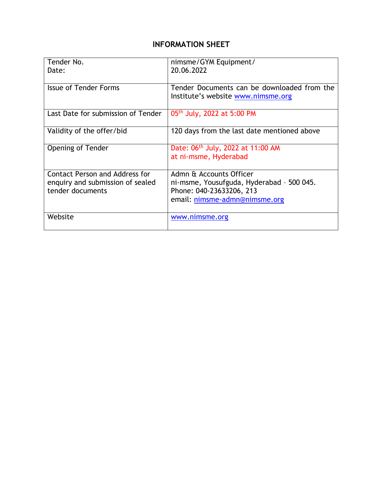# **INFORMATION SHEET**

| Tender No.                            | nimsme/GYM Equipment/                                                             |  |
|---------------------------------------|-----------------------------------------------------------------------------------|--|
| Date:                                 | 20.06.2022                                                                        |  |
| <b>Issue of Tender Forms</b>          | Tender Documents can be downloaded from the<br>Institute's website www.nimsme.org |  |
| Last Date for submission of Tender    | 05 <sup>th</sup> July, 2022 at 5:00 PM                                            |  |
| Validity of the offer/bid             | 120 days from the last date mentioned above                                       |  |
| Opening of Tender                     | Date: 06th July, 2022 at 11:00 AM<br>at ni-msme, Hyderabad                        |  |
| <b>Contact Person and Address for</b> | Admn & Accounts Officer                                                           |  |
| enquiry and submission of sealed      | ni-msme, Yousufguda, Hyderabad - 500 045.                                         |  |
| tender documents                      | Phone: 040-23633206, 213                                                          |  |
|                                       | email: nimsme-admn@nimsme.org                                                     |  |
| Website                               | www.nimsme.org                                                                    |  |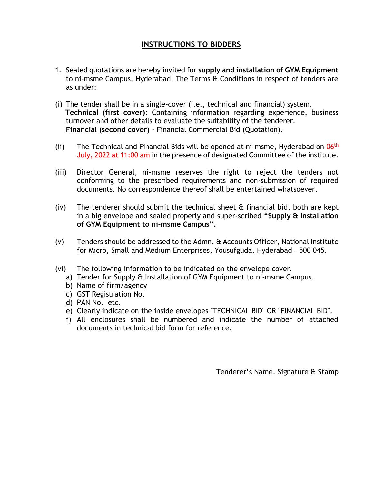# **INSTRUCTIONS TO BIDDERS**

- 1. Sealed quotations are hereby invited for **supply and installation of GYM Equipment** to ni-msme Campus, Hyderabad. The Terms & Conditions in respect of tenders are as under:
- (i) The tender shall be in a single-cover (i.e., technical and financial) system. **Technical (first cover):** Containing information regarding experience, business turnover and other details to evaluate the suitability of the tenderer. **Financial (second cover)** - Financial Commercial Bid (Quotation).
- (ii) The Technical and Financial Bids will be opened at ni-msme, Hyderabad on  $06<sup>th</sup>$ July, 2022 at 11:00 am in the presence of designated Committee of the institute.
- (iii) Director General, ni-msme reserves the right to reject the tenders not conforming to the prescribed requirements and non-submission of required documents. No correspondence thereof shall be entertained whatsoever.
- (iv) The tenderer should submit the technical sheet & financial bid, both are kept in a big envelope and sealed properly and super-scribed **"Supply & Installation of GYM Equipment to ni-msme Campus".**
- (v) Tenders should be addressed to the Admn. & Accounts Officer, National Institute for Micro, Small and Medium Enterprises, Yousufguda, Hyderabad – 500 045.
- (vi) The following information to be indicated on the envelope cover.
	- a) Tender for Supply & Installation of GYM Equipment to ni-msme Campus.
	- b) Name of firm/agency
	- c) GST Registration No.
	- d) PAN No. etc.
	- e) Clearly indicate on the inside envelopes "TECHNICAL BID" OR "FINANCIAL BID".
	- f) All enclosures shall be numbered and indicate the number of attached documents in technical bid form for reference.

Tenderer's Name, Signature & Stamp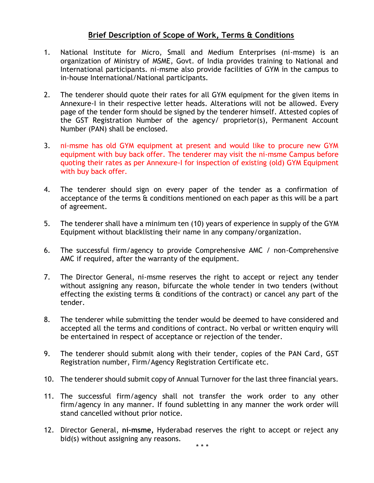#### **Brief Description of Scope of Work, Terms & Conditions**

- 1. National Institute for Micro, Small and Medium Enterprises (ni-msme) is an organization of Ministry of MSME, Govt. of India provides training to National and International participants. ni-msme also provide facilities of GYM in the campus to in-house International/National participants.
- 2. The tenderer should quote their rates for all GYM equipment for the given items in Annexure-I in their respective letter heads. Alterations will not be allowed. Every page of the tender form should be signed by the tenderer himself. Attested copies of the GST Registration Number of the agency/ proprietor(s), Permanent Account Number (PAN) shall be enclosed.
- 3. ni-msme has old GYM equipment at present and would like to procure new GYM equipment with buy back offer. The tenderer may visit the ni-msme Campus before quoting their rates as per Annexure-I for inspection of existing (old) GYM Equipment with buy back offer.
- 4. The tenderer should sign on every paper of the tender as a confirmation of acceptance of the terms & conditions mentioned on each paper as this will be a part of agreement.
- 5. The tenderer shall have a minimum ten (10) years of experience in supply of the GYM Equipment without blacklisting their name in any company/organization.
- 6. The successful firm/agency to provide Comprehensive AMC / non-Comprehensive AMC if required, after the warranty of the equipment.
- 7. The Director General, ni-msme reserves the right to accept or reject any tender without assigning any reason, bifurcate the whole tender in two tenders (without effecting the existing terms & conditions of the contract) or cancel any part of the tender.
- 8. The tenderer while submitting the tender would be deemed to have considered and accepted all the terms and conditions of contract. No verbal or written enquiry will be entertained in respect of acceptance or rejection of the tender.
- 9. The tenderer should submit along with their tender, copies of the PAN Card, GST Registration number, Firm/Agency Registration Certificate etc.
- 10. The tenderer should submit copy of Annual Turnover for the last three financial years.
- 11. The successful firm/agency shall not transfer the work order to any other firm/agency in any manner. If found subletting in any manner the work order will stand cancelled without prior notice.
- 12. Director General, **ni-msme,** Hyderabad reserves the right to accept or reject any bid(s) without assigning any reasons.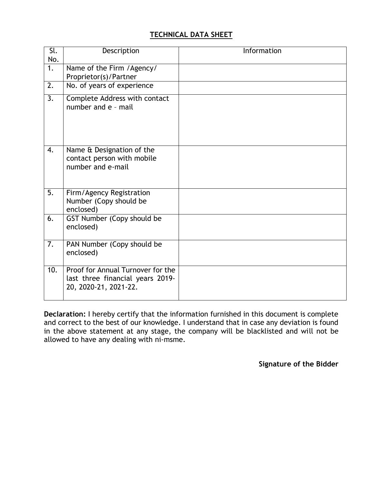### **TECHNICAL DATA SHEET**

| Sl.<br>No.       | Description                                                                                    | Information |
|------------------|------------------------------------------------------------------------------------------------|-------------|
| $\overline{1}$ . | Name of the Firm / Agency/<br>Proprietor(s)/Partner                                            |             |
| 2.               | No. of years of experience                                                                     |             |
| $\overline{3}$ . | Complete Address with contact<br>number and e - mail                                           |             |
| 4.               | Name & Designation of the<br>contact person with mobile<br>number and e-mail                   |             |
| 5.               | Firm/Agency Registration<br>Number (Copy should be<br>enclosed)                                |             |
| 6.               | GST Number (Copy should be<br>enclosed)                                                        |             |
| 7.               | PAN Number (Copy should be<br>enclosed)                                                        |             |
| 10.              | Proof for Annual Turnover for the<br>last three financial years 2019-<br>20, 2020-21, 2021-22. |             |

**Declaration:** I hereby certify that the information furnished in this document is complete and correct to the best of our knowledge. I understand that in case any deviation is found in the above statement at any stage, the company will be blacklisted and will not be allowed to have any dealing with ni-msme.

**Signature of the Bidder**